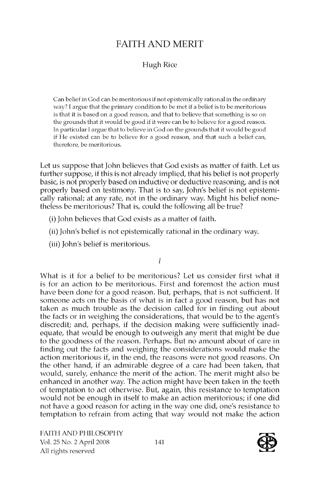## **FAITH AND MERIT**

## Hugh Rice

Can belief in God can be meritorious if not epistemically rational in the ordinary way? I argue that the primary condition to be met if a belief is to be meritorious is that it is based on a good reason, and that to believe that something is so on the grounds that it would be good if it were can be to believe for a good reason. In particular I argue that to believe in God on the grounds that it would be good if He existed can be to believe for a good reason, and that such a belief can, therefore, be meritorious.

Let us suppose that John believes that God exists as matter of faith. Let us further suppose, if this is not already implied, that his belief is not properly basic, is not properly based on inductive or deductive reasoning, and is not properly based on testimony. That is to say, John's belief is not epistemically rational; at any rate, not in the ordinary way. Might his belief nonetheless be meritorious? That is, could the following all be true?

- (i) John believes that God exists as a matter of faith.
- (ii) John's belief is not epistemically rational in the ordinary way.
- (iii) John's belief is meritorious.

*I*

What is it for a belief to be meritorious? Let us consider first what it is for an action to be meritorious. First and foremost the action must have been done for a good reason. But, perhaps, that is not sufficient. If someone acts on the basis of what is in fact a good reason, but has not taken as much trouble as the decision called for in finding out about the facts or in weighing the considerations, that would be to the agent's discredit; and, perhaps, if the decision making were sufficiently inadequate, that would be enough to outweigh any merit that might be due to the goodness of the reason. Perhaps. But no amount about of care in finding out the facts and weighing the considerations would make the action meritorious if, in the end, the reasons were not good reasons. On the other hand, if an admirable degree of a care had been taken, that would, surely, enhance the merit of the action. The merit might also be enhanced in another way. The action might have been taken in the teeth of temptation to act otherwise. But, again, this resistance to temptation would not be enough in itself to make an action meritorious; if one did not have a good reason for acting in the way one did, one's resistance to temptation to refrain from acting that way would not make the action

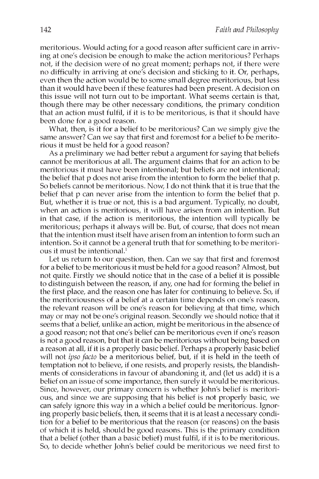meritorious. Would acting for a good reason after sufficient care in arriving at one's decision be enough to make the action meritorious? Perhaps not, if the decision were of no great moment; perhaps not, if there were no difficulty in arriving at one's decision and sticking to it. Or, perhaps, even then the action would be to some small degree meritorious, but less than it would have been if these features had been present. A decision on this issue will not turn out to be important. What seems certain is that, though there may be other necessary conditions, the primary condition that an action must fulfil, if it is to be meritorious, is that it should have been done for a good reason.

What, then, is it for a belief to be meritorious? Can we simply give the same answer? Can we say that first and foremost for a belief to be meritorious it must be held for a good reason?

As a preliminary we had better rebut a argument for saying that beliefs cannot be meritorious at all. The argument claims that for an action to be meritorious it must have been intentional; but beliefs are not intentional; the belief that p does not arise from the intention to form the belief that p. So beliefs cannot be meritorious. Now, I do not think that it is true that the belief that p can never arise from the intention to form the belief that p. But, whether it is true or not, this is a bad argument. Typically, no doubt, when an action is meritorious, it will have arisen from an intention. But in that case, if the action is meritorious, the intention will typically be meritorious; perhaps it always will be. But, of course, that does not mean that the intention must itself have arisen from an intention to form such an intention. So it cannot be a general truth that for something to be meritorious it must be intentional.1

Let us return to our question, then. Can we say that first and foremost for a belief to be meritorious it must be held for a good reason? Almost, but not quite. Firstly we should notice that in the case of a belief it is possible to distinguish between the reason, if any, one had for forming the belief in the first place, and the reason one has later for continuing to believe. So, if the meritoriousness of a belief at a certain time depends on one's reason, the relevant reason will be one's reason for believing at that time, which may or may not be one's original reason. Secondly we should notice that it seems that a belief, unlike an action, might be meritorious in the absence of a good reason; not that one's belief can be meritorious even if one's reason is not a good reason, but that it can be meritorious without being based on a reason at all, if it is a properly basic belief. Perhaps a properly basic belief will not *ipso facto* be a meritorious belief, but, if it is held in the teeth of temptation not to believe, if one resists, and properly resists, the blandishments of considerations in favour of abandoning it, and (let us add) it is a belief on an issue of some importance, then surely it would be meritorious. Since, however, our primary concern is whether John's belief is meritorious, and since we are supposing that his belief is not properly basic, we can safely ignore this way in a which a belief could be meritorious. Ignoring properly basic beliefs, then, it seems that it is at least a necessary condition for a belief to be meritorious that the reason (or reasons) on the basis of which it is held, should be good reasons. This is the primary condition that a belief (other than a basic belief) must fulfil, if it is to be meritorious. So, to decide whether John's belief could be meritorious we need first to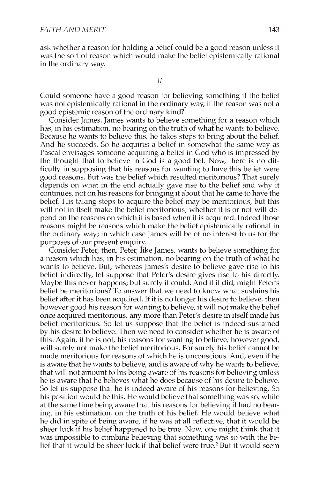ask whether a reason for holding a belief could be a good reason unless it was the sort of reason which would make the belief epistemically rational in the ordinary way.

*II*

Could someone have a good reason for believing something if the belief was not epistemically rational in the ordinary way, if the reason was not a good epistemic reason of the ordinary kind?

Consider James. James wants to believe something for a reason which has, in his estimation, no bearing on the truth of what he wants to believe. Because he wants to believe this, he takes steps to bring about the belief. And he succeeds. So he acquires a belief in somewhat the same way as Pascal envisages someone acquiring a belief in God who is impressed by the thought that to believe in God is a good bet. Now, there is no difficulty in supposing that his reasons for wanting to have this belief were good reasons. But was the belief which resulted meritorious? That surely depends on what in the end actually gave rise to the belief and why it continues, not on his reasons for bringing it about that he came to have the belief. His taking steps to acquire the belief may be meritorious, but this will not in itself make the belief meritorious; whether it is or not will depend on the reasons on which it is based when it is acquired. Indeed those reasons might be reasons which make the belief epistemically rational in the ordinary way; in which case James will be of no interest to us for the purposes of our present enquiry.

Consider Peter, then. Peter, like James, wants to believe something for a reason which has, in his estimation, no bearing on the truth of what he wants to believe. But, whereas James's desire to believe gave rise to his belief indirectly, let suppose that Peter's desire gives rise to his directly. Maybe this never happens; but surely it could. And if it did, might Peter's belief be meritorious? To answer that we need to know what sustains his belief after it has been acquired. If it is no longer his desire to believe, then however good his reason for wanting to believe, it will not make the belief once acquired meritorious, any more than Peter's desire in itself made his belief meritorious. So let us suppose that the belief is indeed sustained by his desire to believe. Then we need to consider whether he is aware of this. Again, if he is not, his reasons for wanting to believe, however good, will surely not make the belief meritorious. For surely his belief cannot be made meritorious for reasons of which he is unconscious. And, even if he is aware that he wants to believe, and is aware of why he wants to believe, that will not amount to his being aware of his reasons for believing unless he is aware that he believes what he does because of his desire to believe. So let us suppose that he is indeed aware of his reasons for believing. So his position would be this. He would believe that something was so, while at the same time being aware that his reasons for believing it had no bearing, in his estimation, on the truth of his belief. He would believe what he did in spite of being aware, if he was at all reflective, that it would be sheer luck if his belief happened to be true. Now, one might think that it was impossible to combine believing that something was so with the belief that it would be sheer luck if that belief were true.<sup>2</sup> But it would seem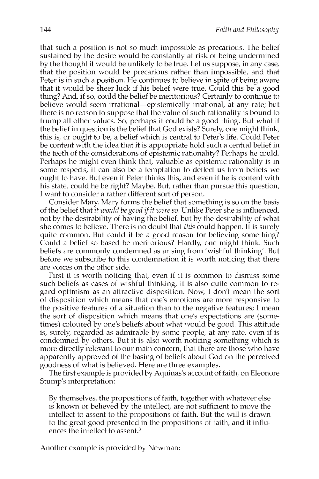that such a position is not so much impossible as precarious. The belief sustained by the desire would be constantly at risk of being undermined by the thought it would be unlikely to be true. Let us suppose, in any case, that the position would be precarious rather than impossible, and that Peter is in such a position. He continues to believe in spite of being aware that it would be sheer luck if his belief were true. Could this be a good thing? And, if so, could the belief be meritorious? Certainly to continue to believe would seem irrational—epistemically irrational, at any rate; but there is no reason to suppose that the value of such rationality is bound to trump all other values. So, perhaps it could be a good thing. But what if the belief in question is the belief that God exists? Surely, one might think, this is, or ought to be, a belief which is central to Peter's life. Could Peter be content with the idea that it is appropriate hold such a central belief in the teeth of the considerations of epistemic rationality? Perhaps he could. Perhaps he might even think that, valuable as epistemic rationality is in some respects, it can also be a temptation to deflect us from beliefs we ought to have. But even if Peter thinks this, and even if he is content with his state, could he be right? Maybe. But, rather than pursue this question, I want to consider a rather different sort of person.

Consider Mary. Mary forms the belief that something is so on the basis of the belief that *it would be good if it were so.* Unlike Peter she is influenced, not by the desirability of having the belief, but by the desirability of what she comes to believe. There is no doubt that *this* could happen. It is surely quite common. But could it be a good reason for believing something? Could a belief so based be meritorious? Hardly, one might think. Such beliefs are commonly condemned as arising from 'wishful thinking'. But before we subscribe to this condemnation it is worth noticing that there are voices on the other side.

First it is worth noticing that, even if it is common to dismiss some such beliefs as cases of wishful thinking, it is also quite common to regard optimism as an attractive disposition. Now, I don't mean the sort of disposition which means that one's emotions are more responsive to the positive features of a situation than to the negative features; I mean the sort of disposition which means that one's expectations are (sometimes) coloured by one's beliefs about what would be good. This attitude is, surely, regarded as admirable by some people, at any rate, even if is condemned by others. But it is also worth noticing something which is more directly relevant to our main concern, that there are those who have apparently approved of the basing of beliefs about God on the perceived goodness of what is believed. Here are three examples.

The first example is provided by Aquinas's account of faith, on Eleonore Stump's interpretation:

By themselves, the propositions of faith, together with whatever else is known or believed by the intellect, are not sufficient to move the intellect to assent to the propositions of faith. But the will is drawn to the great good presented in the propositions of faith, and it influences the intellect to assent.<sup>3</sup>

Another example is provided by Newman: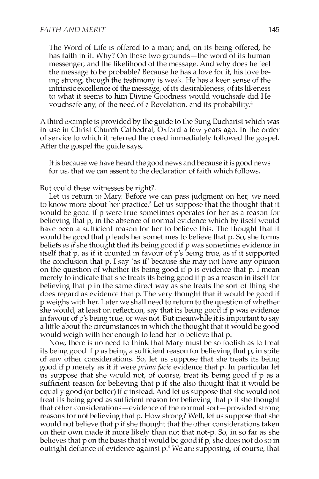The Word of Life is offered to a man; and, on its being offered, he has faith in it. Why? On these two grounds—the word of its human messenger, and the likelihood of the message. And why does he feel the message to be probable? Because he has a love for it, his love being strong, though the testimony is weak. He has a keen sense of the intrinsic excellence of the message, of its desirableness, of its likeness to what it seems to him Divine Goodness would vouchsafe did He vouchsafe any, of the need of a Revelation, and its probability.4

A third example is provided by the guide to the Sung Eucharist which was in use in Christ Church Cathedral, Oxford a few years ago. In the order of service to which it referred the creed immediately followed the gospel. After the gospel the guide says,

It is because we have heard the good news and because it is good news for us, that we can assent to the declaration of faith which follows.

But could these witnesses be right?.

Let us return to Mary. Before we can pass judgment on her, we need to know more about her practice.<sup>5</sup> Let us suppose that the thought that it would be good if p were true sometimes operates for her as a reason for believing that p, in the absence of normal evidence which by itself would have been a sufficient reason for her to believe this. The thought that it would be good that p leads her sometimes to believe that p. So, she forms beliefs *as if* she thought that its being good if p was sometimes evidence in itself that p, as if it counted in favour of p's being true, as if it supported the conclusion that p. I say 'as if' because she may not have any opinion on the question of whether its being good if p is evidence that p. I mean merely to indicate that she treats its being good if p as a reason in itself for believing that p in the same direct way as she treats the sort of thing she does regard as evidence that p. The very thought that it would be good if p weighs with her. Later we shall need to return to the question of whether she would, at least on reflection, say that its being good if p was evidence in favour of p's being true, or was not. But meanwhile it is important to say a little about the circumstances in which the thought that it would be good would weigh with her enough to lead her to believe that p.

Now, there is no need to think that Mary must be so foolish as to treat its being good if p as being a sufficient reason for believing that p, in spite of any other considerations. So, let us suppose that she treats its being good if p merely as if it were *prima facie* evidence that p. In particular let us suppose that she would not, of course, treat its being good if p as a sufficient reason for believing that p if she also thought that it would be equally good (or better) if q instead. And let us suppose that she would not treat its being good as sufficient reason for believing that p if she thought that other considerations—evidence of the normal sort—provided strong reasons for not believing that p. How strong? Well, let us suppose that she would not believe that p if she thought that the other considerations taken on their own made it more likely than not that not-p. So, in so far as she believes that p on the basis that it would be good if p, she does not do so in outright defiance of evidence against p.6 We are supposing, of course, that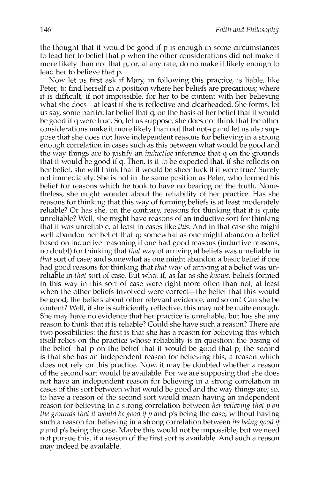the thought that it would be good if p is enough in some circumstances to lead her to belief that p when the other considerations did not make it more likely than not that p, or, at any rate, do no make it likely enough to lead her to believe that p.

Now let us first ask if Mary, in following this practice, is liable, like Peter, to find herself in a position where her beliefs are precarious; where it is difficult, if not impossible, for her to be content with her believing what she does—at least if she is reflective and clearheaded. She forms, let us say, some particular belief that q, on the basis of her belief that it would be good if q were true. So, let us suppose, she does not think that the other considerations make it more likely than not that not-q; and let us also suppose that she does not have independent reasons for believing in a strong enough correlation in cases such as this between what would be good and the way things are to justify an *inductive* inference that q on the grounds that it would be good if q. Then, is it to be expected that, if she reflects on her belief, she will think that it would be sheer luck if it were true? Surely not immediately. She is not in the same position as Peter, who formed his belief for reasons which he took to have no bearing on the truth. Nonetheless, she might wonder about the reliability of her practice. Has she reasons for thinking that this way of forming beliefs is at least moderately reliable? Or has she, on the contrary, reasons for thinking that it is quite unreliable? Well, she might have reasons of an inductive sort for thinking that it was unreliable, at least in cases like *this*. And in that case she might well abandon her belief that q; somewhat as one might abandon a belief based on inductive reasoning if one had good reasons (inductive reasons, no doubt) for thinking that *that* way of arriving at beliefs was unreliable in *that* sort of case; and somewhat as one might abandon a basic belief if one had good reasons for thinking that *that* way of arriving at a belief was unreliable in *that* sort of case. But what if, as far as she *knows,* beliefs formed in this way in this sort of case were right more often than not, at least when the other beliefs involved were correct—the belief that this would be good, the beliefs about other relevant evidence, and so on? Can she be content? Well, if she is sufficiently reflective, this may not be quite enough. She may have no evidence that her practice is unreliable, but has she any reason to think that it is reliable? Could she have such a reason? There are two possibilities: the first is that she has a reason for believing this which itself relies on the practice whose reliability is in question: the basing of the belief that p on the belief that it would be good that p; the second is that she has an independent reason for believing this, a reason which does not rely on this practice. Now, it may be doubted whether a reason of the second sort would be available. For we are supposing that she does not have an independent reason for believing in a strong correlation in cases of this sort between what would be good and the way things are; so, to have a reason of the second sort would mean having an independent reason for believing in a strong correlation between *her believing that p on the grounds that it would be good if p* and p's being the case, without having such a reason for believing in a strong correlation between *its being good if p* and p's being the case. Maybe this would not be impossible, but we need not pursue this, if a reason of the first sort is available. And such a reason may indeed be available.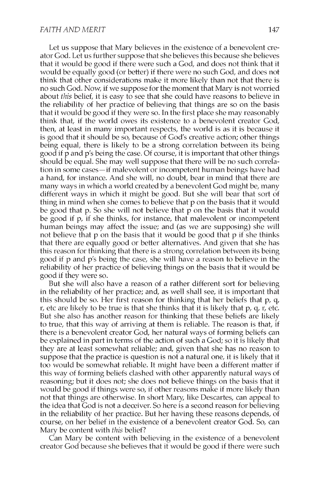Let us suppose that Mary believes in the existence of a benevolent creator God. Let us further suppose that she believes this because she believes that it would be good if there were such a God, and does not think that it would be equally good (or better) if there were no such God, and does not think that other considerations make it more likely than not that there is no such God. Now, if we suppose for the moment that Mary is not worried about *this* belief, it is easy to see that she could have reasons to believe in the reliability of her practice of believing that things are so on the basis that it would be good if they were so. In the first place she may reasonably think that, if the world owes its existence to a benevolent creator God, then, at least in many important respects, the world is as it is because it is good that it should be so, because of God's creative action; other things being equal, there is likely to be a strong correlation between its being good if p and p's being the case. Of course, it is important that other things should be equal. She may well suppose that there will be no such correlation in some cases—if malevolent or incompetent human beings have had a hand, for instance. And she will, no doubt, bear in mind that there are many ways in which a world created by a benevolent God might be, many different ways in which it might be good. But she will bear that sort of thing in mind when she comes to believe that p on the basis that it would be good that p. So she will not believe that  $p$  on the basis that it would be good if p, if she thinks, for instance, that malevolent or incompetent human beings may affect the issue; and (as we are supposing) she will not believe that p on the basis that it would be good that p if she thinks that there are equally good or better alternatives. And given that she has this reason for thinking that there is a strong correlation between its being good if p and p's being the case, she will have a reason to believe in the reliability of her practice of believing things on the basis that it would be good if they were so.

But she will also have a reason of a rather different sort for believing in the reliability of her practice; and, as well shall see, it is important that this should be so. Her first reason for thinking that her beliefs that p, q, r, etc are likely to be true is that she thinks that it is likely that p, q, r, etc. But she also has another reason for thinking that these beliefs are likely to true, that this way of arriving at them is reliable. The reason is that, if there is a benevolent creator God, her natural ways of forming beliefs can be explained in part in terms of the action of such a God; so it is likely that they are at least somewhat reliable; and, given that she has no reason to suppose that the practice is question is not a natural one, it is likely that it too would be somewhat reliable. It might have been a different matter if this way of forming beliefs clashed with other apparently natural ways of reasoning; but it does not; she does not believe things on the basis that it would be good if things were so, if other reasons make if more likely than not that things are otherwise. In short Mary, like Descartes, can appeal to the idea that God is not a deceiver. So here is a second reason for believing in the reliability of her practice. But her having these reasons depends, of course, on her belief in the existence of a benevolent creator God. So, can Mary be content with *this* belief?

Can Mary be content with believing in the existence of a benevolent creator God because she believes that it would be good if there were such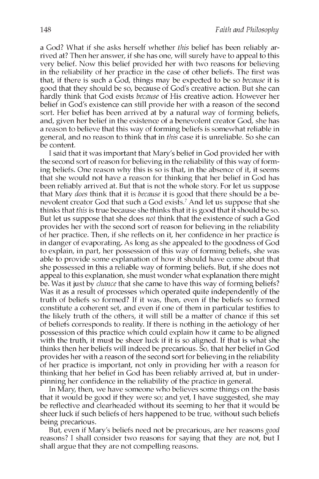a God? What if she asks herself whether *this* belief has been reliably arrived at? Then her answer, if she has one, will surely have to appeal to this very belief. Now this belief provided her with two reasons for believing in the reliability of her practice in the case of other beliefs. The first was that, if there is such a God, things may be expected to be so *because* it is good that they should be so, because of God's creative action. But she can hardly think that God exists *because* of His creative action. However her belief in God's existence can still provide her with a reason of the second sort. Her belief has been arrived at by a natural way of forming beliefs, and, given her belief in the existence of a benevolent creator God, she has a reason to believe that this way of forming beliefs is somewhat reliable in general, and no reason to think that in *this* case it is unreliable. So she can be content.

I said that it was important that Mary's belief in God provided her with the second sort of reason for believing in the reliability of this way of forming beliefs. One reason why this is so is that, in the absence of it, it seems that she would not have a reason for thinking that her belief in God has been reliably arrived at. But that is not the whole story. For let us suppose that Mary *does* think that it is *because* it is good that there should be a benevolent creator God that such a God exists.7 And let us suppose that she thinks that *this* is true because she thinks that it is good that it should be so. But let us suppose that she does *not* think that the existence of such a God provides her with the second sort of reason for believing in the reliability of her practice. Then, if she reflects on it, her confidence in her practice is in danger of evaporating. As long as she appealed to the goodness of God to explain, in part, her possession of this way of forming beliefs, she was able to provide some explanation of how it should have come about that she possessed in this a reliable way of forming beliefs. But, if she does not appeal to this explanation, she must wonder what explanation there might be. Was it just by *chance* that she came to have this way of forming beliefs? Was it as a result of processes which operated quite independently of the truth of beliefs so formed? If it was, then, even if the beliefs so formed constitute a coherent set, and even if one of them in particular testifies to the likely truth of the others, it will still be a matter of chance if this set of beliefs corresponds to reality. If there is nothing in the aetiology of her possession of this practice which could explain how it came to be aligned with the truth, it must be sheer luck if it is so aligned. If that is what she thinks then her beliefs will indeed be precarious. So, that her belief in God provides her with a reason of the second sort for believing in the reliability of her practice is important, not only in providing her with a reason for thinking that her belief in God has been reliably arrived at, but in underpinning her confidence in the reliability of the practice in general.

In Mary, then, we have someone who believes some things on the basis that it would be good if they were so; and yet, I have suggested, she may be reflective and clearheaded without its seeming to her that it would be sheer luck if such beliefs of hers happened to be true, without such beliefs being precarious.

But, even if Mary's beliefs need not be precarious, are her reasons *good* reasons? I shall consider two reasons for saying that they are not, but I shall argue that they are not compelling reasons.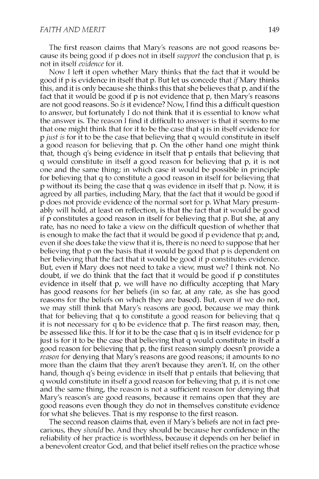The first reason claims that Mary's reasons are not good reasons because its being good if p does not in itself *support* the conclusion that p, is not in itself *evidence* for it.

Now I left it open whether Mary thinks that the fact that it would be good if p is evidence in itself that p. But let us concede that *if* Mary thinks this, and it is only because she thinks this that she believes that p, and if the fact that it would be good if p is not evidence that p, then Mary's reasons are not good reasons. So *is* it evidence? Now, I find this a difficult question to answer, but fortunately I do not think that it is essential to know what the answer is. The reason I find it difficult to answer is that it seems to me that one might think that for it to be the case that q is in itself evidence for p *just is* for it to be the case that believing that q would constitute in itself a good reason for believing that p. On the other hand one might think that, though q's being evidence in itself that p entails that believing that q would constitute in itself a good reason for believing that p, it is not one and the same thing; in which case it would be possible in principle for believing that q to constitute a good reason in itself for believing that p without its being the case that q was evidence in itself that p. Now, it is agreed by all parties, including Mary, that the fact that it would be good if p does not provide evidence of the normal sort for p. What Mary presumably will hold, at least on reflection, is that the fact that it would be good if p constitutes a good reason in itself for believing that p. But she, at any rate, has no need to take a view on the difficult question of whether that is enough to make the fact that it would be good if p evidence that p; and, even if she does take the view that it is, there is no need to suppose that her believing that p on the basis that it would be good that p is dependent on her believing that the fact that it would be good if p constitutes evidence. But, even if Mary does not need to take a view, must we? I think not. No doubt, if we do think that the fact that it would be good if p constitutes evidence in itself that p, we will have no difficulty accepting that Mary has good reasons for her beliefs (in so far, at any rate, as she has good reasons for the beliefs on which they are based). But, even if we do not, we may still think that Mary's reasons are good, because we may think that for believing that q to constitute a good reason for believing that q it is not necessary for q to be evidence that p. The first reason may, then, be assessed like this. If for it to be the case that q is in itself evidence for p just is for it to be the case that believing that q would constitute in itself a good reason for believing that p, the first reason simply doesn't provide a *reason* for denying that Mary's reasons are good reasons; it amounts to no more than the claim that they aren't because they aren't. If, on the other hand, though q's being evidence in itself that p entails that believing that q would constitute in itself a good reason for believing that p, it is not one and the same thing, the reason is not a sufficient reason for denying that Mary's reason's are good reasons, because it remains open that they are good reasons even though they do not in themselves constitute evidence for what she believes. That is my response to the first reason.

The second reason claims that, even if Mary's beliefs are not in fact precarious, they *should* be. And they should be because her confidence in the reliability of her practice is worthless, because it depends on her belief in a benevolent creator God, and that belief itself relies on the practice whose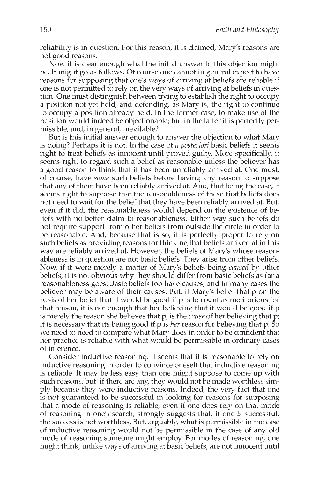reliability is in question. For this reason, it is claimed, Mary's reasons are not good reasons.

Now it is clear enough what the initial answer to this objection might be. It might go as follows. Of course one cannot in general expect to have reasons for supposing that one's ways of arriving at beliefs are reliable if one is not permitted to rely on the very ways of arriving at beliefs in question. One must distinguish between trying to establish the right to occupy a position not yet held, and defending, as Mary is, the right to continue to occupy a position already held. In the former case, to make use of the position would indeed be objectionable; but in the latter it is perfectly permissible, and, in general, inevitable.<sup>8</sup>

But is this initial answer enough to answer the objection to what Mary is doing? Perhaps it is not. In the case of *a posteriori* basic beliefs it seems right to treat beliefs as innocent until proved guilty. More specifically, it seems right to regard such a belief as reasonable unless the believer has a good reason to think that it has been unreliably arrived at. One must, of course, have *some* such beliefs before having any reason to suppose that any of them have been reliably arrived at. And, that being the case, it seems right to suppose that the reasonableness of these first beliefs does not need to wait for the belief that they have been reliably arrived at. But, even if it did, the reasonableness would depend on the existence of beliefs with no better claim to reasonableness. Either way such beliefs do not require support from other beliefs from outside the circle in order to be reasonable. And, because that is so, it is perfectly proper to rely on such beliefs as providing reasons for thinking that beliefs arrived at in this way are reliably arrived at. However, the beliefs of Mary's whose reasonableness is in question are not basic beliefs. They arise from other beliefs. Now, if it were merely a matter of Mary's beliefs being *caused* by other beliefs, it is not obvious why they should differ from basic beliefs as far a reasonableness goes. Basic beliefs too have causes, and in many cases the believer may be aware of their causes. But, if Mary's belief that p on the basis of her belief that it would be good if p is to count as meritorious for that reason, it is not enough that her believing that it would be good if p is merely the reason she believes that p, is the *cause* of her believing that p; it is necessary that its being good if p is *her* reason for believing that p. So we need to need to compare what Mary does in order to be confident that her practice is reliable with what would be permissible in ordinary cases of inference.

Consider inductive reasoning. It seems that it is reasonable to rely on inductive reasoning in order to convince oneself that inductive reasoning is reliable. It may be less easy than one might suppose to come up with such reasons, but, if there are any, they would not be made worthless simply because they were inductive reasons. Indeed, the very fact that one is not guaranteed to be successful in looking for reasons for supposing that a mode of reasoning is reliable, even if one does rely on that mode of reasoning in one's search, strongly suggests that, if one *is* successful, the success is not worthless. But, arguably, what is permissible in the case of inductive reasoning would not be permissible in the case of any old mode of reasoning someone might employ. For modes of reasoning, one might think, unlike ways of arriving at basic beliefs, are not innocent until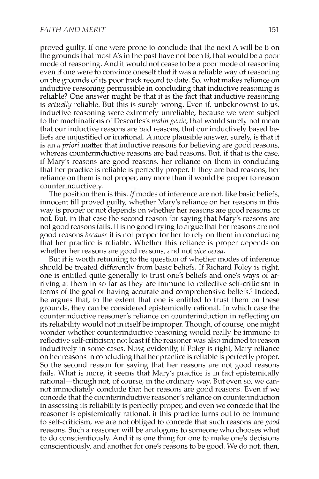proved guilty. If one were prone to conclude that the next A will be B on the grounds that most A's in the past have not been B, that would be a poor mode of reasoning. And it would not cease to be a poor mode of reasoning even if one were to convince oneself that it was a reliable way of reasoning on the grounds of its poor track record to date. So, what makes reliance on inductive reasoning permissible in concluding that inductive reasoning is reliable? One answer might be that it is the fact that inductive reasoning is *actually* reliable. But this is surely wrong. Even if, unbeknownst to us, inductive reasoning were extremely unreliable, because we were subject to the machinations of Descartes's *malin genie,* that would surely not mean that our inductive reasons are bad reasons, that our inductively based beliefs are unjustified or irrational. A more plausible answer, surely, is that it is an *a priori* matter that inductive reasons for believing are good reasons, whereas counterinductive reasons are bad reasons. But, if that is the case, if Mary's reasons are good reasons, her reliance on them in concluding that her practice is reliable is perfectly proper. If they are bad reasons, her reliance on them is not proper, any more than it would be proper to reason counterinductively.

The position then is this. *If* modes of inference are not, like basic beliefs, innocent till proved guilty, whether Mary's reliance on her reasons in this way is proper or not depends on whether her reasons are good reasons or not. But, in that case the second reason for saying that Mary's reasons are not good reasons fails. It is no good trying to argue that her reasons are not good reasons *because* it is not proper for her to rely on them in concluding that her practice is reliable. Whether this reliance is proper depends on whether her reasons are good reasons, and not *vice versa*.

But it is worth returning to the question of whether modes of inference should be treated differently from basic beliefs. If Richard Foley is right, one is entitled quite generally to trust one's beliefs and one's ways of arriving at them in so far as they are immune to reflective self-criticism in terms of the goal of having accurate and comprehensive beliefs.<sup>9</sup> Indeed, he argues that, to the extent that one is entitled to trust them on these grounds, they can be considered epistemically rational. In which case the counterinductive reasoner's reliance on counterinduction in reflecting on its reliability would not in itself be improper. Though, of course, one might wonder whether counterinductive reasoning would really be immune to reflective self-criticism; not least if the reasoner was also inclined to reason inductively in some cases. Now, evidently, if Foley is right, Mary reliance on her reasons in concluding that her practice is reliable is perfectly proper. So the second reason for saying that her reasons are not good reasons fails. What is more, it seems that Mary's practice is in fact epistemically rational—though not, of course, in the ordinary way. But even so, we cannot immediately conclude that her reasons are good reasons. Even if we concede that the counterinductive reasoner's reliance on counterinduction in assessing its reliability is perfectly proper, and even we concede that the reasoner is epistemically rational, if this practice turns out to be immune to self-criticism, we are not obliged to concede that such reasons are *good* reasons. Such a reasoner will be analogous to someone who chooses what to do conscientiously. And it is one thing for one to make one's decisions conscientiously, and another for one's reasons to be good. We do not, then,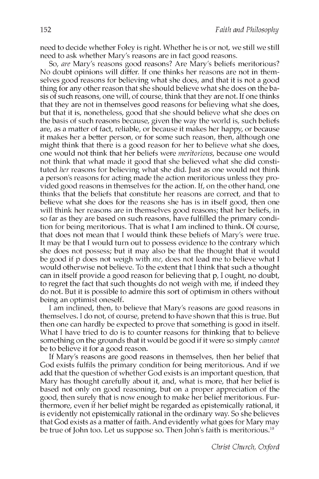need to decide whether Foley is right. Whether he is or not, we still we still need to ask whether Mary's reasons are in fact good reasons.

So, *are* Mary's reasons good reasons? Are Mary's beliefs meritorious? No doubt opinions will differ. If one thinks her reasons are not in themselves good reasons for believing what she does, and that it is not a good thing for any other reason that she should believe what she does on the basis of such reasons, one will, of course, think that they are not. If one thinks that they are not in themselves good reasons for believing what she does, but that it is, nonetheless, good that she should believe what she does on the basis of such reasons because, given the way the world is, such beliefs are, as a matter of fact, reliable, or because it makes her happy, or because it makes her a better person, or for some such reason, then, although one might think that there is a good reason for her to believe what she does, one would not think that her beliefs were *meritorious,* because one would not think that what made it good that she believed what she did constituted *her* reasons for believing what she did. Just as one would not think a person's reasons for acting made the action meritorious unless they provided good reasons in themselves for the action. If, on the other hand, one thinks that the beliefs that constitute her reasons are correct, and that to believe what she does for the reasons she has is in itself good, then one will think her reasons are in themselves good reasons; that her beliefs, in so far as they are based on such reasons, have fulfilled the primary condition for being meritorious. That is what I am inclined to think. Of course, that does not mean that I would think these beliefs of Mary's were true. It may be that I would turn out to possess evidence to the contrary which she does not possess; but it may also be that the thought that it would be good if p does not weigh with *me*, does not lead me to believe what I would otherwise not believe. To the extent that I think that such a thought can in itself provide a good reason for believing that p, I ought, no doubt, to regret the fact that such thoughts do not weigh with me, if indeed they do not. But it is possible to admire this sort of optimism in others without being an optimist oneself.

I am inclined, then, to believe that Mary's reasons are good reasons in themselves. I do not, of course, pretend to have shown that this is true. But then one can hardly be expected to prove that something is good in itself. What I have tried to do is to counter reasons for thinking that to believe something on the grounds that it would be good if it were so simply *cannot* be to believe it for a good reason.

If Mary's reasons are good reasons in themselves, then her belief that God exists fulfils the primary condition for being meritorious. And if we add that the question of whether God exists is an important question, that Mary has thought carefully about it, and, what is more, that her belief is based not only on good reasoning, but on a proper appreciation of the good, then surely that is now enough to make her belief meritorious. Furthermore, even if her belief might be regarded as epistemically rational, it is evidently not epistemically rational in the ordinary way. So she believes that God exists as a matter of faith. And evidently what goes for Mary may be true of John too. Let us suppose so. Then John's faith is meritorious.<sup>10</sup>